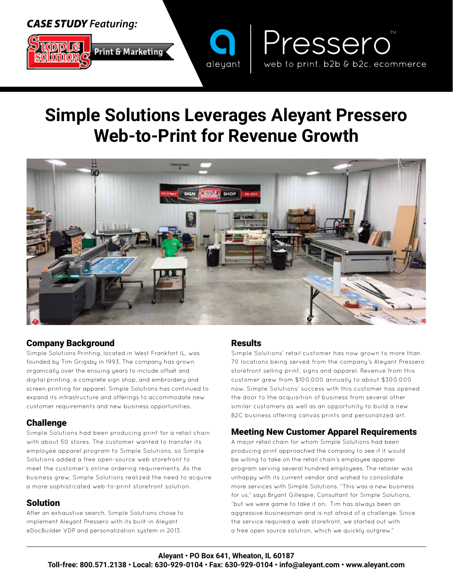# *CASE STUDY Featuring:*



# **Simple Solutions Leverages Aleyant Pressero Web-to-Print for Revenue Growth**

aleyant



## Company Background

Simple Solutions Printing, located in West Frankfort IL, was founded by Tim Grigsby in 1993. The company has grown organically over the ensuing years to include offset and digital printing, a complete sign shop, and embroidery and screen printing for apparel. Simple Solutions has continued to expand its infrastructure and offerings to accommodate new customer requirements and new business opportunities.

## Challenge

Simple Solutions had been producing print for a retail chain with about 50 stores. The customer wanted to transfer its employee apparel program to Simple Solutions, so Simple Solutions added a free open-source web storefront to meet the customer's online ordering requirements. As the business grew, Simple Solutions realized the need to acquire a more sophisticated web-to-print storefront solution.

#### Solution

After an exhaustive search, Simple Solutions chose to implement Aleyant Pressero with its built-in Aleyant eDocBuilder VDP and personalization system in 2013.

#### Results

Simple Solutions' retail customer has now grown to more than 70 locations being served from the company's Aleyant Pressero storefront selling print, signs and apparel. Revenue from this customer grew from \$100,000 annually to about \$300,000 now. Simple Solutions' success with this customer has opened the door to the acquisition of business from several other similar customers as well as an opportunity to build a new B2C business offering canvas prints and personalized art.

Pressero

web to print. b2b & b2c. ecommerce

## Meeting New Customer Apparel Requirements

A major retail chain for whom Simple Solutions had been producing print approached the company to see if it would be willing to take on the retail chain's employee apparel program serving several hundred employees. The retailer was unhappy with its current vendor and wished to consolidate more services with Simple Solutions. "This was a new business for us," says Bryant Gillespie, Consultant for Simple Solutions, "but we were game to take it on. Tim has always been an aggressive businessman and is not afraid of a challenge. Since the service required a web storefront, we started out with a free open source solution, which we quickly outgrew."